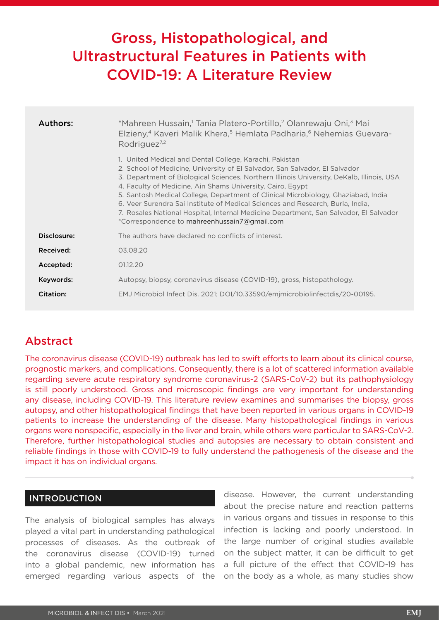# Gross, Histopathological, and Ultrastructural Features in Patients with COVID-19: A Literature Review

| Authors:    | *Mahreen Hussain, <sup>1</sup> Tania Platero-Portillo, <sup>2</sup> Olanrewaju Oni, <sup>3</sup> Mai<br>Elzieny, <sup>4</sup> Kaveri Malik Khera, <sup>5</sup> Hemlata Padharia, <sup>6</sup> Nehemias Guevara-<br>Rodriguez <sup>7,2</sup>                                                                                                                                                                                                                                                                                                                                                                       |
|-------------|-------------------------------------------------------------------------------------------------------------------------------------------------------------------------------------------------------------------------------------------------------------------------------------------------------------------------------------------------------------------------------------------------------------------------------------------------------------------------------------------------------------------------------------------------------------------------------------------------------------------|
|             | 1. United Medical and Dental College, Karachi, Pakistan<br>2. School of Medicine, University of El Salvador, San Salvador, El Salvador<br>3. Department of Biological Sciences, Northern Illinois University, DeKalb, Illinois, USA<br>4. Faculty of Medicine, Ain Shams University, Cairo, Egypt<br>5. Santosh Medical College, Department of Clinical Microbiology, Ghaziabad, India<br>6. Veer Surendra Sai Institute of Medical Sciences and Research, Burla, India,<br>7. Rosales National Hospital, Internal Medicine Department, San Salvador, El Salvador<br>*Correspondence to mahreenhussain7@gmail.com |
| Disclosure: | The authors have declared no conflicts of interest.                                                                                                                                                                                                                                                                                                                                                                                                                                                                                                                                                               |
| Received:   | 03.08.20                                                                                                                                                                                                                                                                                                                                                                                                                                                                                                                                                                                                          |
| Accepted:   | 01.12.20                                                                                                                                                                                                                                                                                                                                                                                                                                                                                                                                                                                                          |
| Keywords:   | Autopsy, biopsy, coronavirus disease (COVID-19), gross, histopathology.                                                                                                                                                                                                                                                                                                                                                                                                                                                                                                                                           |
| Citation:   | EMJ Microbiol Infect Dis. 2021; DOI/10.33590/emjmicrobiolinfectdis/20-00195.                                                                                                                                                                                                                                                                                                                                                                                                                                                                                                                                      |

# Abstract

The coronavirus disease (COVID-19) outbreak has led to swift efforts to learn about its clinical course, prognostic markers, and complications. Consequently, there is a lot of scattered information available regarding severe acute respiratory syndrome coronavirus-2 (SARS-CoV-2) but its pathophysiology is still poorly understood. Gross and microscopic findings are very important for understanding any disease, including COVID-19. This literature review examines and summarises the biopsy, gross autopsy, and other histopathological findings that have been reported in various organs in COVID-19 patients to increase the understanding of the disease. Many histopathological findings in various organs were nonspecific, especially in the liver and brain, while others were particular to SARS-CoV-2. Therefore, further histopathological studies and autopsies are necessary to obtain consistent and reliable findings in those with COVID-19 to fully understand the pathogenesis of the disease and the impact it has on individual organs.

### INTRODUCTION

The analysis of biological samples has always played a vital part in understanding pathological processes of diseases. As the outbreak of the coronavirus disease (COVID-19) turned into a global pandemic, new information has emerged regarding various aspects of the

disease. However, the current understanding about the precise nature and reaction patterns in various organs and tissues in response to this infection is lacking and poorly understood. In the large number of original studies available on the subject matter, it can be difficult to get a full picture of the effect that COVID-19 has on the body as a whole, as many studies show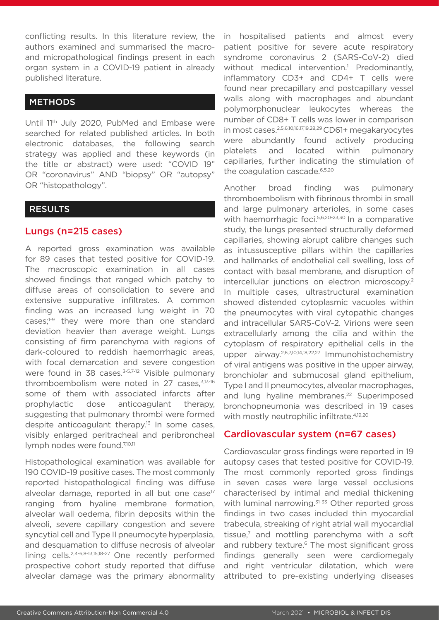conflicting results. In this literature review, the authors examined and summarised the macroand micropathological findings present in each organ system in a COVID-19 patient in already published literature.

## **METHODS**

Until 11th July 2020, PubMed and Embase were searched for related published articles. In both electronic databases, the following search strategy was applied and these keywords (in the title or abstract) were used: "COVID 19" OR "coronavirus" AND "biopsy" OR "autopsy" OR "histopathology".

#### RESULTS

### Lungs (n=215 cases)

A reported gross examination was available for 89 cases that tested positive for COVID-19. The macroscopic examination in all cases showed findings that ranged which patchy to diffuse areas of consolidation to severe and extensive suppurative infiltrates. A common finding was an increased lung weight in 70 cases;<sup>1-9</sup> they were more than one standard deviation heavier than average weight. Lungs consisting of firm parenchyma with regions of dark-coloured to reddish haemorrhagic areas, with focal demarcation and severe congestion were found in 38 cases. $3-5,7-12$  Visible pulmonary thromboembolism were noted in 27 cases,3,13-16 some of them with associated infarcts after prophylactic dose anticoagulant therapy, suggesting that pulmonary thrombi were formed despite anticoagulant therapy.<sup>13</sup> In some cases, visibly enlarged peritracheal and peribroncheal lymph nodes were found.<sup>7,10,11</sup>

Histopathological examination was available for 190 COVID-19 positive cases. The most commonly reported histopathological finding was diffuse alveolar damage, reported in all but one case $17$ ranging from hyaline membrane formation, alveolar wall oedema, fibrin deposits within the alveoli, severe capillary congestion and severe syncytial cell and Type II pneumocyte hyperplasia, and desquamation to diffuse necrosis of alveolar lining cells.2,4-6,8-13,15,18-27 One recently performed prospective cohort study reported that diffuse alveolar damage was the primary abnormality

in hospitalised patients and almost every patient positive for severe acute respiratory syndrome coronavirus 2 (SARS-CoV-2) died without medical intervention.<sup>1</sup> Predominantly, inflammatory CD3+ and CD4+ T cells were found near precapillary and postcapillary vessel walls along with macrophages and abundant polymorphonuclear leukocytes whereas the number of CD8+ T cells was lower in comparison in most cases.2,5,6,10,16,17,19,28,29 CD61+ megakaryocytes were abundantly found actively producing platelets and located within pulmonary capillaries, further indicating the stimulation of the coagulation cascade.6,5,20

Another broad finding was pulmonary thromboembolism with fibrinous thrombi in small and large pulmonary arterioles, in some cases with haemorrhagic foci.<sup>5,6,20-23,30</sup> In a comparative study, the lungs presented structurally deformed capillaries, showing abrupt calibre changes such as intussusceptive pillars within the capillaries and hallmarks of endothelial cell swelling, loss of contact with basal membrane, and disruption of intercellular junctions on electron microscopy.2 In multiple cases, ultrastructural examination showed distended cytoplasmic vacuoles within the pneumocytes with viral cytopathic changes and intracellular SARS-CoV-2. Virions were seen extracellularly among the cilia and within the cytoplasm of respiratory epithelial cells in the upper airway.2,6,7,10,14,18,22,27 Immunohistochemistry of viral antigens was positive in the upper airway, bronchiolar and submucosal gland epithelium, Type I and II pneumocytes, alveolar macrophages, and lung hyaline membranes.<sup>22</sup> Superimposed bronchopneumonia was described in 19 cases with mostly neutrophilic infiltrate.<sup>4,19,20</sup>

### Cardiovascular system (n=67 cases)

Cardiovascular gross findings were reported in 19 autopsy cases that tested positive for COVID-19. The most commonly reported gross findings in seven cases were large vessel occlusions characterised by intimal and medial thickening with luminal narrowing.<sup>31-33</sup> Other reported gross findings in two cases included thin myocardial trabecula, streaking of right atrial wall myocardial tissue, $<sup>7</sup>$  and mottling parenchyma with a soft</sup> and rubbery texture.<sup>6</sup> The most significant gross findings generally seen were cardiomegaly and right ventricular dilatation, which were attributed to pre-existing underlying diseases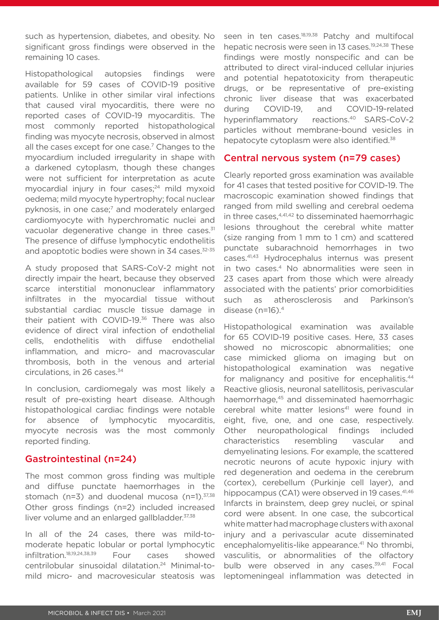such as hypertension, diabetes, and obesity. No significant gross findings were observed in the remaining 10 cases.

Histopathological autopsies findings were available for 59 cases of COVID-19 positive patients. Unlike in other similar viral infections that caused viral myocarditis, there were no reported cases of COVID-19 myocarditis. The most commonly reported histopathological finding was myocyte necrosis, observed in almost all the cases except for one case.<sup>7</sup> Changes to the myocardium included irregularity in shape with a darkened cytoplasm, though these changes were not sufficient for interpretation as acute myocardial injury in four cases; $24$  mild myxoid oedema; mild myocyte hypertrophy; focal nuclear pyknosis, in one case;<sup>7</sup> and moderately enlarged cardiomyocyte with hyperchromatic nuclei and vacuolar degenerative change in three cases.<sup>31</sup> The presence of diffuse lymphocytic endothelitis and apoptotic bodies were shown in 34 cases.<sup>32-35</sup>

A study proposed that SARS-CoV-2 might not directly impair the heart, because they observed scarce interstitial mononuclear inflammatory infiltrates in the myocardial tissue without substantial cardiac muscle tissue damage in their patient with COVID-19.36 There was also evidence of direct viral infection of endothelial cells, endothelitis with diffuse endothelial inflammation, and micro- and macrovascular thrombosis, both in the venous and arterial circulations, in 26 cases.34

In conclusion, cardiomegaly was most likely a result of pre-existing heart disease. Although histopathological cardiac findings were notable for absence of lymphocytic myocarditis, myocyte necrosis was the most commonly reported finding.

# Gastrointestinal (n=24)

The most common gross finding was multiple and diffuse punctate haemorrhages in the stomach ( $n=3$ ) and duodenal mucosa ( $n=1$ ).<sup>37,38</sup> Other gross findings (n=2) included increased liver volume and an enlarged gallbladder. 37,38

In all of the 24 cases, there was mild-tomoderate hepatic lobular or portal lymphocytic infiltration.18,19,24,38,39 Four cases showed centrilobular sinusoidal dilatation.24 Minimal-tomild micro- and macrovesicular steatosis was

seen in ten cases.<sup>18,19,38</sup> Patchy and multifocal hepatic necrosis were seen in 13 cases.<sup>19,24,38</sup> These findings were mostly nonspecific and can be attributed to direct viral-induced cellular injuries and potential hepatotoxicity from therapeutic drugs, or be representative of pre-existing chronic liver disease that was exacerbated during COVID-19, and COVID-19-related hyperinflammatory reactions.<sup>40</sup> SARS-CoV-2 particles without membrane-bound vesicles in hepatocyte cytoplasm were also identified.<sup>38</sup>

### Central nervous system (n=79 cases)

Clearly reported gross examination was available for 41 cases that tested positive for COVID-19. The macroscopic examination showed findings that ranged from mild swelling and cerebral oedema in three cases, $4,41,42$  to disseminated haemorrhagic lesions throughout the cerebral white matter (size ranging from 1 mm to 1 cm) and scattered punctate subarachnoid hemorrhages in two cases.41,43 Hydrocephalus internus was present in two cases.4 No abnormalities were seen in 23 cases apart from those which were already associated with the patients' prior comorbidities such as atherosclerosis and Parkinson's disease (n=16).4

Histopathological examination was available for 65 COVID-19 positive cases. Here, 33 cases showed no microscopic abnormalities; one case mimicked glioma on imaging but on histopathological examination was negative for malignancy and positive for encephalitis.<sup>44</sup> Reactive gliosis, neuronal satellitosis, perivascular haemorrhage,<sup>45</sup> and disseminated haemorrhagic cerebral white matter lesions<sup>41</sup> were found in eight, five, one, and one case, respectively. Other neuropathological findings included characteristics resembling vascular and demyelinating lesions. For example, the scattered necrotic neurons of acute hypoxic injury with red degeneration and oedema in the cerebrum (cortex), cerebellum (Purkinje cell layer), and hippocampus (CA1) were observed in 19 cases.<sup>41,46</sup> Infarcts in brainstem, deep grey nuclei, or spinal cord were absent. In one case, the subcortical white matter had macrophage clusters with axonal injury and a perivascular acute disseminated encephalomyelitis-like appearance.<sup>41</sup> No thrombi, vasculitis, or abnormalities of the olfactory bulb were observed in any cases.<sup>39,41</sup> Focal leptomeningeal inflammation was detected in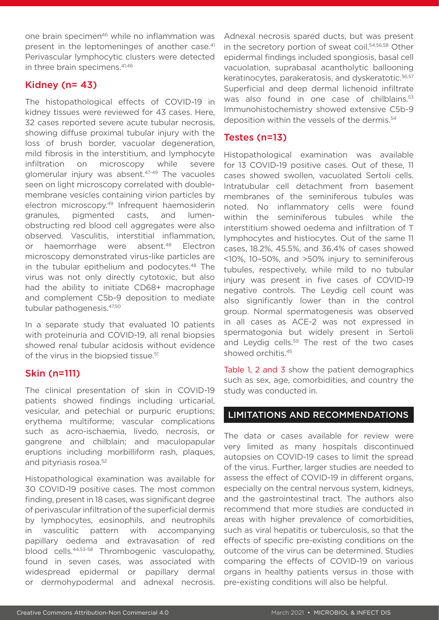one brain specimen<sup>46</sup> while no inflammation was present in the leptomeninges of another case.<sup>41</sup> Perivascular lymphocytic clusters were detected in three brain specimens.<sup>41,46</sup>

# Kidney (n= 43)

The histopathological effects of COVID-19 in kidney tissues were reviewed for 43 cases. Here, 32 cases reported severe acute tubular necrosis, showing diffuse proximal tubular injury with the loss of brush border, vacuolar degeneration, mild fibrosis in the interstitium, and lymphocyte infiltration on microscopy while severe glomerular injury was absent.<sup>47-49</sup> The vacuoles seen on light microscopy correlated with doublemembrane vesicles containing virion particles by electron microscopy.<sup>49</sup> Infrequent haemosiderin granules, pigmented casts, and lumenobstructing red blood cell aggregates were also observed. Vasculitis, interstitial inflammation, or haemorrhage were absent.<sup>48</sup> Electron microscopy demonstrated virus-like particles are in the tubular epithelium and podocytes.<sup>48</sup> The virus was not only directly cytotoxic, but also had the ability to initiate CD68+ macrophage and complement C5b-9 deposition to mediate tubular pathogenesis.47,50

In a separate study that evaluated 10 patients with proteinuria and COVID-19, all renal biopsies showed renal tubular acidosis without evidence of the virus in the biopsied tissue.<sup>51</sup>

# Skin (n=111)

The clinical presentation of skin in COVID-19 patients showed findings including urticarial, vesicular, and petechial or purpuric eruptions; erythema multiforme; vascular complications such as acro-ischaemia, livedo, necrosis, or gangrene and chilblain; and maculopapular eruptions including morbilliform rash, plaques, and pityriasis rosea.<sup>52</sup>

Histopathological examination was available for 30 COVID-19 positive cases. The most common finding, present in 18 cases, was significant degree of perivascular infiltration of the superficial dermis by lymphocytes, eosinophils, and neutrophils in vasculitic pattern with accompanying papillary oedema and extravasation of red blood cells.44,53-58 Thrombogenic vasculopathy, found in seven cases, was associated with widespread epidermal or papillary dermal or dermohypodermal and adnexal necrosis.

Adnexal necrosis spared ducts, but was present in the secretory portion of sweat coil.<sup>54,56,58</sup> Other epidermal findings included spongiosis, basal cell vacuolation, suprabasal acantholytic ballooning keratinocytes, parakeratosis, and dyskeratotic.<sup>56,57</sup> Superficial and deep dermal lichenoid infiltrate was also found in one case of chilblains.<sup>53</sup> Immunohistochemistry showed extensive C5b-9 deposition within the vessels of the dermis.<sup>54</sup>

# Testes (n=13)

Histopathological examination was available for 13 COVID-19 positive cases. Out of these, 11 cases showed swollen, vacuolated Sertoli cells. Intratubular cell detachment from basement membranes of the seminiferous tubules was noted. No inflammatory cells were found within the seminiferous tubules while the interstitium showed oedema and infiltration of T lymphocytes and histiocytes. Out of the same 11 cases, 18.2%, 45.5%, and 36.4% of cases showed <10%, 10–50%, and >50% injury to seminiferous tubules, respectively, while mild to no tubular injury was present in five cases of COVID-19 negative controls. The Leydig cell count was also significantly lower than in the control group. Normal spermatogenesis was observed in all cases as ACE-2 was not expressed in spermatogonia but widely present in Sertoli and Leydig cells.<sup>59</sup> The rest of the two cases showed orchitis.45

Table 1, 2 and 3 show the patient demographics such as sex, age, comorbidities, and country the study was conducted in.

# LIMITATIONS AND RECOMMENDATIONS

The data or cases available for review were very limited as many hospitals discontinued autopsies on COVID-19 cases to limit the spread of the virus. Further, larger studies are needed to assess the effect of COVID-19 in different organs, especially on the central nervous system, kidneys, and the gastrointestinal tract. The authors also recommend that more studies are conducted in areas with higher prevalence of comorbidities, such as viral hepatitis or tuberculosis, so that the effects of specific pre-existing conditions on the outcome of the virus can be determined. Studies comparing the effects of COVID-19 on various organs in healthy patients versus in those with pre-existing conditions will also be helpful.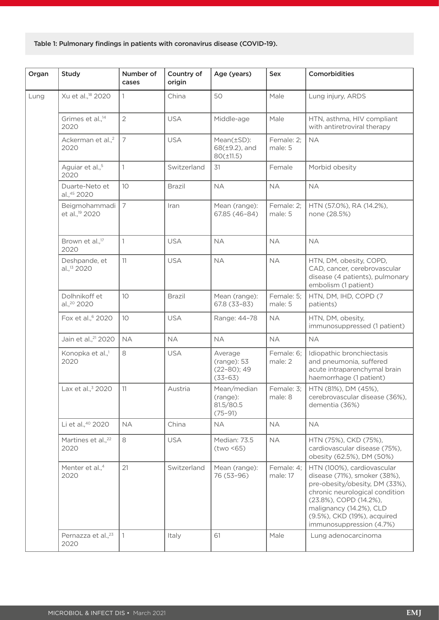Table 1: Pulmonary findings in patients with coronavirus disease (COVID-19).

| Organ | Study                                       | Number of<br>cases | Country of<br>origin | Age (years)                                              | <b>Sex</b>             | Comorbidities                                                                                                                                                                                                                                  |
|-------|---------------------------------------------|--------------------|----------------------|----------------------------------------------------------|------------------------|------------------------------------------------------------------------------------------------------------------------------------------------------------------------------------------------------------------------------------------------|
| Lung  | Xu et al., <sup>18</sup> 2020               | 1                  | China                | 50                                                       | Male                   | Lung injury, ARDS                                                                                                                                                                                                                              |
|       | Grimes et al., <sup>14</sup><br>2020        | $\overline{2}$     | <b>USA</b>           | Middle-age                                               | Male                   | HTN, asthma, HIV compliant<br>with antiretroviral therapy                                                                                                                                                                                      |
|       | Ackerman et al., <sup>2</sup><br>2020       | 7                  | <b>USA</b>           | Mean(±SD):<br>$68(\pm 9.2)$ , and<br>$80(\pm 11.5)$      | Female: 2;<br>male: 5  | <b>NA</b>                                                                                                                                                                                                                                      |
|       | Aguiar et al., <sup>5</sup><br>2020         | 1                  | Switzerland          | 31                                                       | Female                 | Morbid obesity                                                                                                                                                                                                                                 |
|       | Duarte-Neto et<br>al., 45 2020              | 10 <sup>°</sup>    | <b>Brazil</b>        | <b>NA</b>                                                | <b>NA</b>              | <b>NA</b>                                                                                                                                                                                                                                      |
|       | Beigmohammadi<br>et al., <sup>19</sup> 2020 | $\overline{7}$     | Iran                 | Mean (range):<br>67.85 (46-84)                           | Female: 2;<br>male: 5  | HTN (57.0%), RA (14.2%),<br>none (28.5%)                                                                                                                                                                                                       |
|       | Brown et al., <sup>17</sup><br>2020         | $\mathbf{1}$       | <b>USA</b>           | <b>NA</b>                                                | <b>NA</b>              | <b>NA</b>                                                                                                                                                                                                                                      |
|       | Deshpande, et<br>al., <sup>13</sup> 2020    | 11                 | <b>USA</b>           | <b>NA</b>                                                | <b>NA</b>              | HTN, DM, obesity, COPD,<br>CAD, cancer, cerebrovascular<br>disease (4 patients), pulmonary<br>embolism (1 patient)                                                                                                                             |
|       | Dolhnikoff et<br>al., <sup>20</sup> 2020    | 10 <sup>°</sup>    | <b>Brazil</b>        | Mean (range):<br>$67.8(33 - 83)$                         | Female: 5;<br>male: 5  | HTN, DM, IHD, COPD (7<br>patients)                                                                                                                                                                                                             |
|       | Fox et al., <sup>6</sup> 2020               | 10 <sup>°</sup>    | <b>USA</b>           | Range: 44-78                                             | <b>NA</b>              | HTN, DM, obesity,<br>immunosuppressed (1 patient)                                                                                                                                                                                              |
|       | Jain et al., <sup>21</sup> 2020             | <b>NA</b>          | <b>NA</b>            | <b>NA</b>                                                | <b>NA</b>              | <b>NA</b>                                                                                                                                                                                                                                      |
|       | Konopka et al., <sup>1</sup><br>2020        | 8                  | <b>USA</b>           | Average<br>(range): 53<br>$(22 - 80); 49$<br>$(33 - 63)$ | Female: 6;<br>male: 2  | Idiopathic bronchiectasis<br>and pneumonia, suffered<br>acute intraparenchymal brain<br>haemorrhage (1 patient)                                                                                                                                |
|       | Lax et al., <sup>3</sup> 2020               | 11                 | Austria              | Mean/median<br>(range):<br>81.5/80.5<br>$(75 - 91)$      | Female: 3;<br>male: 8  | HTN (81%), DM (45%),<br>cerebrovascular disease (36%),<br>dementia (36%)                                                                                                                                                                       |
|       | Li et al., <sup>40</sup> 2020               | <b>NA</b>          | China                | <b>NA</b>                                                | <b>NA</b>              | <b>NA</b>                                                                                                                                                                                                                                      |
|       | Martines et al., <sup>22</sup><br>2020      | 8                  | <b>USA</b>           | Median: 73.5<br>(two < 65)                               | <b>NA</b>              | HTN (75%), CKD (75%),<br>cardiovascular disease (75%),<br>obesity (62.5%), DM (50%)                                                                                                                                                            |
|       | Menter et al., <sup>4</sup><br>2020         | 21                 | Switzerland          | Mean (range):<br>76 (53-96)                              | Female: 4;<br>male: 17 | HTN (100%), cardiovascular<br>disease (71%), smoker (38%),<br>pre-obesity/obesity, DM (33%),<br>chronic neurological condition<br>(23.8%), COPD (14.2%),<br>malignancy (14.2%), CLD<br>(9.5%), CKD (19%), acquired<br>immunosuppression (4.7%) |
|       | Pernazza et al., <sup>23</sup><br>2020      | 1                  | Italy                | 61                                                       | Male                   | Lung adenocarcinoma                                                                                                                                                                                                                            |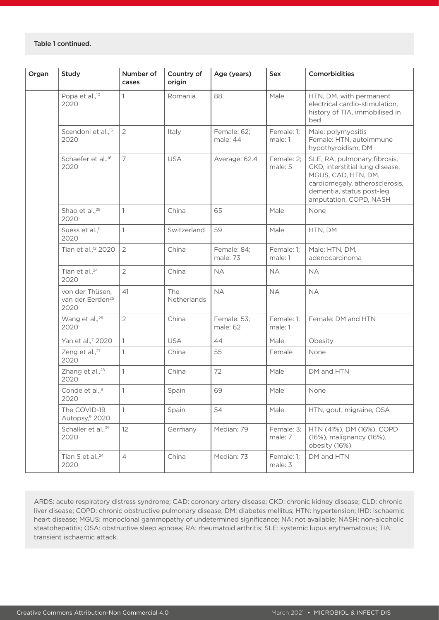| Organ | Study                                                   | Number of<br>cases | Country of<br>origin | Age (years)             | Sex                   | Comorbidities                                                                                                                                                                   |
|-------|---------------------------------------------------------|--------------------|----------------------|-------------------------|-----------------------|---------------------------------------------------------------------------------------------------------------------------------------------------------------------------------|
|       | Popa et al., <sup>10</sup><br>2020                      | 1                  | Romania              | 88                      | Male                  | HTN, DM, with permanent<br>electrical cardio-stimulation,<br>history of TIA, immobilised in<br>bed                                                                              |
|       | Scendoni et al., <sup>15</sup><br>2020                  | $\overline{2}$     | Italy                | Female: 62;<br>male: 44 | Female: 1;<br>male: 1 | Male: polymyositis<br>Female: HTN, autoimmune<br>hypothyroidism, DM                                                                                                             |
|       | Schaefer et al., <sup>16</sup><br>2020                  | $\overline{7}$     | <b>USA</b>           | Average: 62.4           | Female: 2;<br>male: 5 | SLE, RA, pulmonary fibrosis,<br>CKD, interstitial lung disease,<br>MGUS, CAD, HTN, DM,<br>cardiomegaly, atherosclerosis,<br>dementia, status post-leg<br>amputation, COPD, NASH |
|       | Shao et al., <sup>29</sup><br>2020                      | $\mathbf{1}$       | China                | 65                      | Male                  | None                                                                                                                                                                            |
|       | Suess et al., <sup>11</sup><br>2020                     | 1                  | Switzerland          | 59                      | Male                  | HTN, DM                                                                                                                                                                         |
|       | Tian et al., <sup>12</sup> 2020                         | $\overline{2}$     | China                | Female: 84;<br>male: 73 | Female: 1;<br>male: 1 | Male: HTN, DM,<br>adenocarcinoma                                                                                                                                                |
|       | Tian et al., <sup>24</sup><br>2020                      | $\overline{2}$     | China                | <b>NA</b>               | <b>NA</b>             | <b>NA</b>                                                                                                                                                                       |
|       | von der Thüsen,<br>van der Eerden <sup>25</sup><br>2020 | 41                 | The<br>Netherlands   | <b>NA</b>               | <b>NA</b>             | <b>NA</b>                                                                                                                                                                       |
|       | Wang et al., <sup>26</sup><br>2020                      | $\overline{2}$     | China                | Female: 53;<br>male: 62 | Female: 1;<br>male: 1 | Female: DM and HTN                                                                                                                                                              |
|       | Yan et al.,7 2020                                       | $\mathbf{1}$       | <b>USA</b>           | 44                      | Male                  | Obesity                                                                                                                                                                         |
|       | Zeng et al., <sup>27</sup><br>2020                      | 1                  | China                | 55                      | Female                | None                                                                                                                                                                            |
|       | Zhang et al., <sup>28</sup><br>2020                     | 1                  | China                | 72                      | Male                  | DM and HTN                                                                                                                                                                      |
|       | Conde et al., <sup>8</sup><br>2020                      | 1                  | Spain                | 69                      | Male                  | None                                                                                                                                                                            |
|       | The COVID-19<br>Autopsy, <sup>9</sup> 2020              | $\mathbf{1}$       | Spain                | 54                      | Male                  | HTN, gout, migraine, OSA                                                                                                                                                        |
|       | Schaller et al., <sup>39</sup><br>2020                  | 12                 | Germany              | Median: 79              | Female: 3;<br>male: 7 | HTN (41%), DM (16%), COPD<br>(16%), malignancy (16%),<br>obesity (16%)                                                                                                          |
|       | Tian S et al., <sup>24</sup><br>2020                    | $\overline{4}$     | China                | Median: 73              | Female: 1;<br>male: 3 | DM and HTN                                                                                                                                                                      |

ARDS: acute respiratory distress syndrome; CAD: coronary artery disease; CKD: chronic kidney disease; CLD: chronic liver disease; COPD: chronic obstructive pulmonary disease; DM: diabetes mellitus; HTN: hypertension; IHD: ischaemic heart disease; MGUS: monoclonal gammopathy of undetermined significance; NA: not available; NASH: non-alcoholic steatohepatitis; OSA: obstructive sleep apnoea; RA: rheumatoid arthritis; SLE: systemic lupus erythematosus; TIA: transient ischaemic attack.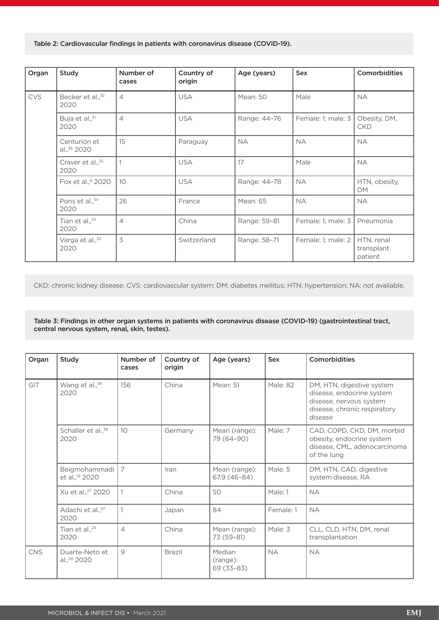Table 2: Cardiovascular findings in patients with coronavirus disease (COVID-19).

| Organ      | Study                                | Number of<br>cases | Country of<br>origin | Age (years)     | <b>Sex</b>         | <b>Comorbidities</b>                |
|------------|--------------------------------------|--------------------|----------------------|-----------------|--------------------|-------------------------------------|
| <b>CVS</b> | Becker et al., <sup>32</sup><br>2020 | $\overline{4}$     | <b>USA</b>           | <b>Mean: 50</b> | Male               | <b>NA</b>                           |
|            | Buja et al., <sup>31</sup><br>2020   | $\overline{4}$     | <b>USA</b>           | Range: 44-76    | Female: 1; male: 3 | Obesity, DM,<br><b>CKD</b>          |
|            | Centurión et<br>al., 36 2020         | 15                 | Paraguay             | <b>NA</b>       | <b>NA</b>          | <b>NA</b>                           |
|            | Craver et al., <sup>35</sup><br>2020 | 1                  | <b>USA</b>           | 17              | Male               | <b>NA</b>                           |
|            | Fox et al., <sup>6</sup> 2020        | 10 <sup>°</sup>    | <b>USA</b>           | Range: 44-78    | <b>NA</b>          | HTN, obesity,<br><b>DM</b>          |
|            | Pons et al., <sup>34</sup><br>2020   | 26                 | France               | Mean: 65        | <b>NA</b>          | <b>NA</b>                           |
|            | Tian et al., <sup>24</sup><br>2020   | $\overline{4}$     | China                | Range: 59-81    | Female: 1; male: 3 | Pneumonia                           |
|            | Varga et al., <sup>33</sup><br>2020  | $\overline{3}$     | Switzerland          | Range: 58-71    | Female: 1; male: 2 | HTN, renal<br>transplant<br>patient |

CKD: chronic kidney disease; CVS: cardiovascular system; DM: diabetes mellitus; HTN: hypertension; NA: not available.

Table 3: Findings in other organ systems in patients with coronavirus disease (COVID-19) (gastrointestinal tract, central nervous system, renal, skin, testes).

| Organ      | Study                                       | Number of<br>cases | Country of<br>origin | Age (years)                      | Sex       | Comorbidities                                                                                                                |
|------------|---------------------------------------------|--------------------|----------------------|----------------------------------|-----------|------------------------------------------------------------------------------------------------------------------------------|
| GIT        | Wang et al., <sup>38</sup><br>2020          | 156                | China                | Mean: 51                         | Male: 82  | DM, HTN, digestive system<br>disease, endocrine system<br>disease, nervous system<br>disease, chronic respiratory<br>disease |
|            | Schaller et al., <sup>39</sup><br>2020      | 10                 | Germany              | Mean (range):<br>79 (64-90)      | Male: 7   | CAD, COPD, CKD, DM, morbid<br>obesity, endocrine system<br>disease, CML, adenocarcinoma<br>of the lung                       |
|            | Beigmohammadi<br>et al., <sup>19</sup> 2020 | $\overline{7}$     | Iran                 | Mean (range):<br>67.9 (46-84)    | Male: 5   | DM, HTN, CAD, digestive<br>system disease, RA                                                                                |
|            | Xu et al., <sup>27</sup> 2020               |                    | China                | 50                               | Male: 1   | <b>NA</b>                                                                                                                    |
|            | Adachi et al., 37<br>2020                   |                    | Japan                | 84                               | Female: 1 | <b>NA</b>                                                                                                                    |
|            | Tian et al., <sup>24</sup><br>2020          | $\overline{4}$     | China                | Mean (range):<br>73 (59-81)      | Male: 3   | CLL, CLD, HTN, DM, renal<br>transplantation                                                                                  |
| <b>CNS</b> | Duarte-Neto et<br>al., <sup>20</sup> 2020   | 9                  | <b>Brazil</b>        | Median<br>(range):<br>69 (33-83) | <b>NA</b> | <b>NA</b>                                                                                                                    |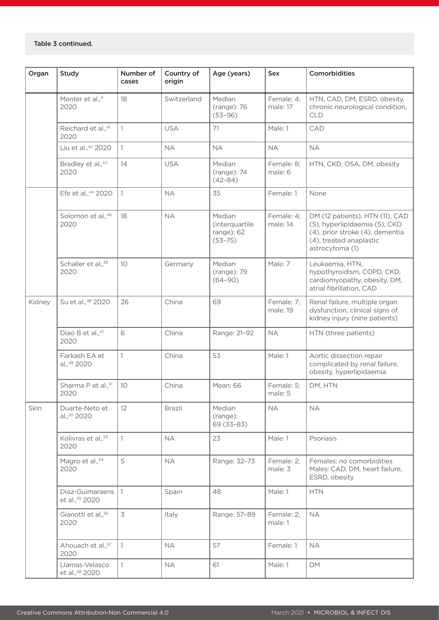| Organ  | <b>Study</b>                              | Number of<br>cases | Country of<br>origin | Age (years)                                           | <b>Sex</b>             | Comorbidities                                                                                                                                     |
|--------|-------------------------------------------|--------------------|----------------------|-------------------------------------------------------|------------------------|---------------------------------------------------------------------------------------------------------------------------------------------------|
|        | Menter et al., <sup>4</sup><br>2020       | 18                 | Switzerland          | Median<br>(range): 76<br>$(53 - 96)$                  | Female: 4;<br>male: 17 | HTN, CAD, DM, ESRD, obesity,<br>chronic neurological condition,<br><b>CLD</b>                                                                     |
|        | Reichard et al.,41<br>2020                | 1                  | <b>USA</b>           | 71                                                    | Male: 1                | CAD                                                                                                                                               |
|        | Liu et al., 42 2020                       | $\mathbf{1}$       | <b>NA</b>            | <b>NA</b>                                             | <b>NA</b>              | <b>NA</b>                                                                                                                                         |
|        | Bradley et al., 43<br>2020                | 14                 | <b>USA</b>           | Median<br>(range): 74<br>$(42 - 84)$                  | Female: 8;<br>male: 6  | HTN, CKD, OSA, DM, obesity                                                                                                                        |
|        | Efe et al., 44 2020                       | $\overline{1}$     | <b>NA</b>            | 35                                                    | Female: 1              | None                                                                                                                                              |
|        | Solomon et al., 46<br>2020                | 18                 | <b>NA</b>            | Median<br>(interquartile<br>range): 62<br>$(53 - 75)$ | Female: 4;<br>male: 14 | DM (12 patients), HTN (11), CAD<br>(5), hyperlipidaemia (5), CKD<br>(4), prior stroke (4), dementia<br>(4), treated anaplastic<br>astrocytoma (1) |
|        | Schaller et al., <sup>39</sup><br>2020    | 10 <sup>°</sup>    | Germany              | Median<br>(range): 79<br>$(64 - 90)$                  | Male: 7                | Leukaemia, HTN,<br>hypothyroidism, COPD, CKD,<br>cardiomyopathy, obesity, DM,<br>atrial fibrillation, CAD                                         |
| Kidney | Su et al., <sup>48</sup> 2020             | 26                 | China                | 69                                                    | Female: 7;<br>male: 19 | Renal failure, multiple organ<br>dysfunction, clinical signs of<br>kidney injury (nine patients)                                                  |
|        | Diao B et al., 47<br>2020                 | 6                  | China                | Range: 21-92                                          | <b>NA</b>              | HTN (three patients)                                                                                                                              |
|        | Farkash EA et<br>al.,49 2020              | 1                  | China                | 53                                                    | Male: 1                | Aortic dissection repair<br>complicated by renal failure,<br>obesity, hyperlipidaemia                                                             |
|        | Sharma P et al., <sup>51</sup><br>2020    | 10                 | China                | Mean: 66                                              | Female: 5;<br>male: 5  | DM, HTN                                                                                                                                           |
| Skin   | Duarte-Neto et<br>al., <sup>20</sup> 2020 | 12                 | <b>Brazil</b>        | Median<br>(range):<br>69 (33-83)                      | <b>NA</b>              | <b>NA</b>                                                                                                                                         |
|        | Kolivras et al., 53<br>2020               | 1                  | <b>NA</b>            | 23                                                    | Male: 1                | Psoriasis                                                                                                                                         |
|        | Magro et al., 54<br>2020                  | 5                  | <b>NA</b>            | Range: 32-73                                          | Female: 2;<br>male: 3  | Females: no comorbidities<br>Males: CAD, DM, heart failure,<br>ESRD, obesity                                                                      |
|        | Diaz-Guimaraens<br>et al., 55 2020        | $\vert$ 1          | Spain                | 48                                                    | Male: 1                | <b>HTN</b>                                                                                                                                        |
|        | Gianotti et al., <sup>56</sup><br>2020    | 3                  | Italy                | Range: 57-89                                          | Female: 2;<br>male: 1  | <b>NA</b>                                                                                                                                         |
|        | Ahouach et al., <sup>57</sup><br>2020     | $\mathbf{1}$       | <b>NA</b>            | 57                                                    | Female: 1              | <b>NA</b>                                                                                                                                         |
|        | Llamas-Velasco<br>et al., 58 2020         | 1                  | <b>NA</b>            | 61                                                    | Male: 1                | DM                                                                                                                                                |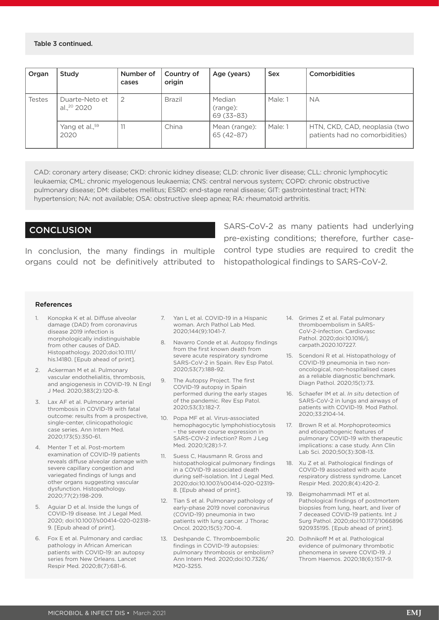#### Table 3 continued.

| Organ  | Study                                     | Number of<br>cases | Country of<br>origin | Age (years)                      | <b>Sex</b> | <b>Comorbidities</b>                                            |
|--------|-------------------------------------------|--------------------|----------------------|----------------------------------|------------|-----------------------------------------------------------------|
| Testes | Duarte-Neto et<br>al., <sup>20</sup> 2020 |                    | <b>Brazil</b>        | Median<br>(range):<br>69 (33-83) | Male: 1    | <b>NA</b>                                                       |
|        | Yang et al., <sup>59</sup><br>2020        |                    | China                | Mean (range):<br>65 (42-87)      | Male: 1    | HTN, CKD, CAD, neoplasia (two<br>patients had no comorbidities) |

CAD: coronary artery disease; CKD: chronic kidney disease; CLD: chronic liver disease; CLL: chronic lymphocytic leukaemia; CML: chronic myelogenous leukaemia; CNS: central nervous system; COPD: chronic obstructive pulmonary disease; DM: diabetes mellitus; ESRD: end-stage renal disease; GIT: gastrointestinal tract; HTN: hypertension; NA: not available; OSA: obstructive sleep apnea; RA: rheumatoid arthritis.

### **CONCLUSION**

In conclusion, the many findings in multiple organs could not be definitively attributed to

SARS-CoV-2 as many patients had underlying pre-existing conditions; therefore, further casecontrol type studies are required to credit the histopathological findings to SARS-CoV-2.

#### **References**

- 1. Konopka K et al. Diffuse alveolar damage (DAD) from coronavirus disease 2019 infection is morphologically indistinguishable from other causes of DAD. Histopathology. 2020;doi:10.1111/ his.14180. [Epub ahead of print].
- 2. Ackerman M et al. Pulmonary vascular endothelialitis, thrombosis, and angiogenesis in COVID-19. N Engl J Med. 2020;383(2):120-8.
- 3. Lax AF et al. Pulmonary arterial thrombosis in COVID-19 with fatal outcome: results from a prospective, single-center, clinicopathologic case series. Ann Intern Med. 2020;173(5):350-61.
- 4. Menter T et al. Post-mortem examination of COVID-19 patients reveals diffuse alveolar damage with severe capillary congestion and variegated findings of lungs and other organs suggesting vascular dysfunction. Histopathology. 2020;77(2):198-209.
- 5. Aguiar D et al. Inside the lungs of COVID-19 disease. Int J Legal Med. 2020; doi:10.1007/s00414-020-02318- 9. [Epub ahead of print].
- 6. Fox E et al. Pulmonary and cardiac pathology in African American patients with COVID-19: an autopsy series from New Orleans. Lancet Respir Med. 2020;8(7):681-6.
- 7. Yan L et al. COVID-19 in a Hispanic woman. Arch Pathol Lab Med. 2020;144(9):1041-7.
- 8. Navarro Conde et al. Autopsy findings from the first known death from severe acute respiratory syndrome SARS-CoV-2 in Spain. Rev Esp Patol. 2020;53(7):188-92.
- 9. The Autopsy Project. The first COVID-19 autopsy in Spain performed during the early stages of the pandemic. Rev Esp Patol. 2020;53(3):182-7.
- 10. Popa MF et al. Virus-associated hemophagocytic lymphohistiocytosis – the severe course expression in SARS-COV-2 infection? Rom J Leg Med. 2020;1(28):1-7.
- 11. Suess C, Hausmann R. Gross and histopathological pulmonary findings in a COVID-19 associated death during self-isolation. Int J Legal Med. 2020;doi:10.1007/s00414-020-02319- 8. [Epub ahead of print].
- 12. Tian S et al. Pulmonary pathology of early-phase 2019 novel coronavirus (COVID-19) pneumonia in two patients with lung cancer. J Thorac Oncol. 2020;15(5):700-4.
- 13. Deshpande C. Thromboembolic findings in COVID-19 autopsies: pulmonary thrombosis or embolism? Ann Intern Med. 2020;doi:10.7326/ M20-3255.
- 14. Grimes Z et al. Fatal pulmonary thromboembolism in SARS-CoV-2-infection. Cardiovasc Pathol. 2020;doi:10.1016/j. carpath.2020.107227.
- 15. Scendoni R et al. Histopathology of COVID-19 pneumonia in two nononcological, non-hospitalised cases as a reliable diagnostic benchmark. Diagn Pathol. 2020;15(1):73.
- 16. Schaefer IM et al. *In situ* detection of SARS-CoV-2 in lungs and airways of patients with COVID-19. Mod Pathol. 2020;33:2104-14.
- 17. Brown R et al. Morphoproteomics and etiopathogenic features of pulmonary COVID-19 with therapeutic implications: a case study. Ann Clin Lab Sci. 2020;50(3):308-13.
- 18. Xu Z et al. Pathological findings of COVID-19 associated with acute respiratory distress syndrome. Lancet Respir Med. 2020;8(4):420-2.
- 19. Beigmohammadi MT et al. Pathological findings of postmortem biopsies from lung, heart, and liver of 7 deceased COVID-19 patients. Int J Surg Pathol. 2020;doi:10.1177/1066896 920935195. [Epub ahead of print].
- 20. Dolhnikoff M et al. Pathological evidence of pulmonary thrombotic phenomena in severe COVID-19. J Throm Haemos. 2020;18(6):1517-9.